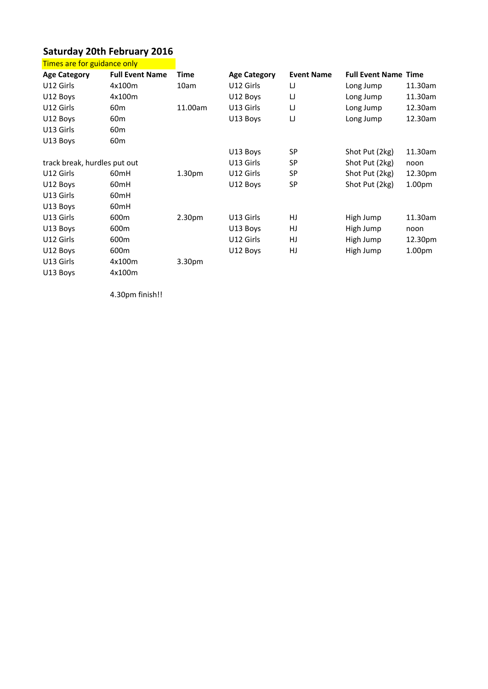## **20th February <sup>2016</sup>** rday 20th February 201<br>are for guidance only <u>Sat</u>

|                              | <b>Saturday 20th February 2016</b> |             |                     |                   |                             |                    |
|------------------------------|------------------------------------|-------------|---------------------|-------------------|-----------------------------|--------------------|
| Times are for guidance only  |                                    |             |                     |                   |                             |                    |
| <b>Age Category</b>          | <b>Full Event Name</b>             | <b>Time</b> | <b>Age Category</b> | <b>Event Name</b> | <b>Full Event Name Time</b> |                    |
| U12 Girls                    | 4x100m                             | 10am        | U12 Girls           | IJ                | Long Jump                   | 11.30am            |
| U12 Boys                     | 4x100m                             |             | U12 Boys            | IJ                | Long Jump                   | 11.30am            |
| U12 Girls                    | 60 <sub>m</sub>                    | 11.00am     | U13 Girls           | IJ                | Long Jump                   | 12.30am            |
| U12 Boys                     | 60 <sub>m</sub>                    |             | U13 Boys            | IJ                | Long Jump                   | 12.30am            |
| U13 Girls                    | 60 <sub>m</sub>                    |             |                     |                   |                             |                    |
| U13 Boys                     | 60 <sub>m</sub>                    |             |                     |                   |                             |                    |
|                              |                                    |             | U13 Boys            | <b>SP</b>         | Shot Put (2kg)              | 11.30am            |
| track break, hurdles put out |                                    |             | U13 Girls           | <b>SP</b>         | Shot Put (2kg)              | noon               |
| U12 Girls                    | 60 <sub>mH</sub>                   | 1.30pm      | U12 Girls           | <b>SP</b>         | Shot Put (2kg)              | 12.30pm            |
| U12 Boys                     | 60 <sub>mH</sub>                   |             | U12 Boys            | <b>SP</b>         | Shot Put (2kg)              | 1.00 <sub>pm</sub> |
| U13 Girls                    | 60 <sub>mH</sub>                   |             |                     |                   |                             |                    |
| U13 Boys                     | 60mH                               |             |                     |                   |                             |                    |
| U13 Girls                    | 600m                               | 2.30pm      | U13 Girls           | HJ                | High Jump                   | 11.30am            |
| U13 Boys                     | 600m                               |             | U13 Boys            | HJ                | High Jump                   | noon               |
| U12 Girls                    | 600 <sub>m</sub>                   |             | U12 Girls           | <b>HJ</b>         | High Jump                   | 12.30pm            |
| U12 Boys                     | 600m                               |             | U12 Boys            | HJ                | High Jump                   | 1.00 <sub>pm</sub> |
| U13 Girls                    | 4x100m                             | 3.30pm      |                     |                   |                             |                    |
| U13 Boys                     | 4x100m                             |             |                     |                   |                             |                    |
|                              | 4.30pm finish!!                    |             |                     |                   |                             |                    |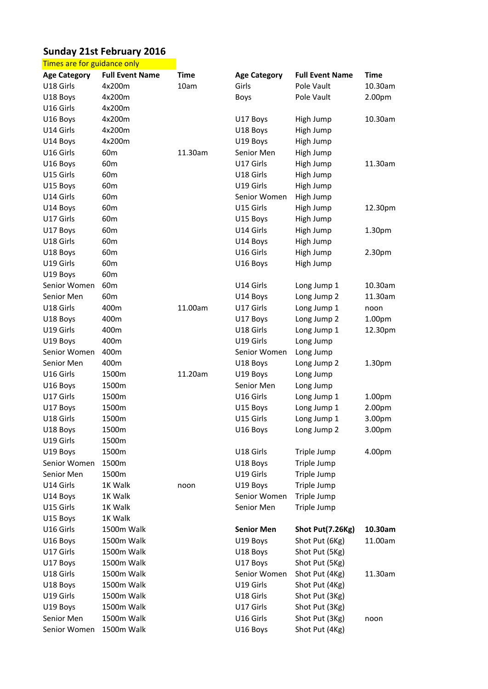## **21st February <sup>2016</sup>** ay 21st February 2016<br>are for guidance only Sur

|                             | <b>Sunday 21st February 2016</b> |             |                     |                        |                    |
|-----------------------------|----------------------------------|-------------|---------------------|------------------------|--------------------|
| Times are for guidance only |                                  |             |                     |                        |                    |
| <b>Age Category</b>         | <b>Full Event Name</b>           | <b>Time</b> | <b>Age Category</b> | <b>Full Event Name</b> | <b>Time</b>        |
| U18 Girls                   | 4x200m                           | 10am        | Girls               | Pole Vault             | 10.30am            |
| U18 Boys                    | 4x200m                           |             | <b>Boys</b>         | Pole Vault             | 2.00pm             |
| U16 Girls                   | 4x200m                           |             |                     |                        |                    |
| U16 Boys                    | 4x200m                           |             | U17 Boys            | High Jump              | 10.30am            |
| U14 Girls                   | 4x200m                           |             | U18 Boys            | High Jump              |                    |
| U14 Boys                    | 4x200m                           |             | U19 Boys            | High Jump              |                    |
| U16 Girls                   | 60 <sub>m</sub>                  | 11.30am     | Senior Men          | High Jump              |                    |
| U16 Boys                    | 60 <sub>m</sub>                  |             | U17 Girls           | High Jump              | 11.30am            |
| U15 Girls                   | 60 <sub>m</sub>                  |             | U18 Girls           | High Jump              |                    |
| U15 Boys                    | 60 <sub>m</sub>                  |             | U19 Girls           | High Jump              |                    |
| U14 Girls                   | 60 <sub>m</sub>                  |             | Senior Women        | High Jump              |                    |
| U14 Boys                    | 60 <sub>m</sub>                  |             | U15 Girls           | High Jump              | 12.30pm            |
| U17 Girls                   | 60 <sub>m</sub>                  |             | U15 Boys            | High Jump              |                    |
| U17 Boys                    | 60m                              |             | U14 Girls           | High Jump              | 1.30 <sub>pm</sub> |
| U18 Girls                   | 60 <sub>m</sub>                  |             | U14 Boys            | High Jump              |                    |
| U18 Boys                    | 60m                              |             | U16 Girls           | High Jump              | 2.30pm             |
| U19 Girls                   | 60 <sub>m</sub>                  |             | U16 Boys            | High Jump              |                    |
| U19 Boys                    | 60 <sub>m</sub>                  |             |                     |                        |                    |
| Senior Women                | 60 <sub>m</sub>                  |             | U14 Girls           | Long Jump 1            | 10.30am            |
| Senior Men                  | 60 <sub>m</sub>                  |             | U14 Boys            | Long Jump 2            | 11.30am            |
| U18 Girls                   | 400m                             | 11.00am     | U17 Girls           | Long Jump 1            | noon               |
| U18 Boys                    | 400m                             |             | U17 Boys            | Long Jump 2            | 1.00 <sub>pm</sub> |
| U19 Girls                   | 400m                             |             | U18 Girls           | Long Jump 1            | 12.30pm            |
| U19 Boys                    | 400m                             |             | U19 Girls           | Long Jump              |                    |
| Senior Women                | 400m                             |             | Senior Women        | Long Jump              |                    |
| Senior Men                  | 400m                             |             | U18 Boys            | Long Jump 2            | 1.30 <sub>pm</sub> |
| U16 Girls                   | 1500m                            | 11.20am     | U19 Boys            | Long Jump              |                    |
| U16 Boys                    | 1500m                            |             | Senior Men          | Long Jump              |                    |
| U17 Girls                   | 1500m                            |             | U16 Girls           | Long Jump 1            | 1.00pm             |
| U17 Boys                    | 1500m                            |             | U15 Boys            | Long Jump 1            | 2.00pm             |
| U18 Girls                   | 1500m                            |             | U15 Girls           | Long Jump 1            | 3.00pm             |
| U18 Boys                    | 1500m                            |             | U16 Boys            | Long Jump 2            | 3.00pm             |
| U19 Girls                   | 1500m                            |             |                     |                        |                    |
| U19 Boys                    | 1500m                            |             | U18 Girls           | Triple Jump            | 4.00pm             |
| Senior Women                | 1500m                            |             | U18 Boys            | Triple Jump            |                    |
| Senior Men                  | 1500m                            |             | U19 Girls           | Triple Jump            |                    |
| U14 Girls                   | 1K Walk                          | noon        | U19 Boys            | Triple Jump            |                    |
| U14 Boys                    | 1K Walk                          |             | Senior Women        | Triple Jump            |                    |
| U15 Girls                   | 1K Walk                          |             | Senior Men          | Triple Jump            |                    |
| U15 Boys                    | 1K Walk                          |             |                     |                        |                    |
| U16 Girls                   | 1500m Walk                       |             | <b>Senior Men</b>   | Shot Put(7.26Kg)       | 10.30am            |
| U16 Boys                    | 1500m Walk                       |             | U19 Boys            | Shot Put (6Kg)         | 11.00am            |
| U17 Girls                   | 1500m Walk                       |             | U18 Boys            | Shot Put (5Kg)         |                    |
| U17 Boys                    | 1500m Walk                       |             | U17 Boys            | Shot Put (5Kg)         |                    |
| U18 Girls                   | 1500m Walk                       |             | Senior Women        | Shot Put (4Kg)         | 11.30am            |
| U18 Boys                    | 1500m Walk                       |             | U19 Girls           | Shot Put (4Kg)         |                    |
| U19 Girls                   | 1500m Walk                       |             | U18 Girls           | Shot Put (3Kg)         |                    |
| U19 Boys                    | 1500m Walk                       |             | U17 Girls           | Shot Put (3Kg)         |                    |
| Senior Men                  | 1500m Walk                       |             | U16 Girls           | Shot Put (3Kg)         | noon               |
| Senior Women                | 1500m Walk                       |             | U16 Boys            | Shot Put (4Kg)         |                    |